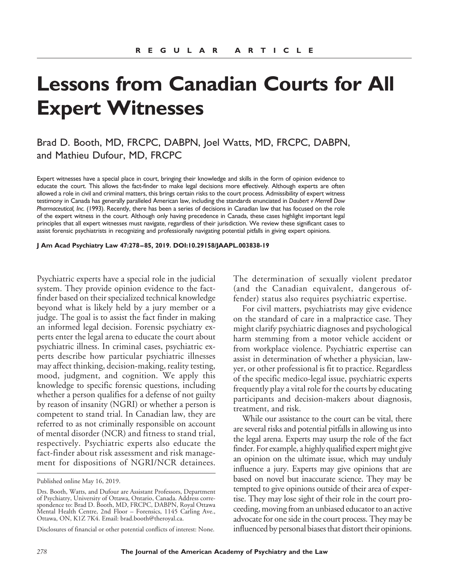# **Lessons from Canadian Courts for All Expert Witnesses**

# Brad D. Booth, MD, FRCPC, DABPN, Joel Watts, MD, FRCPC, DABPN, and Mathieu Dufour, MD, FRCPC

Expert witnesses have a special place in court, bringing their knowledge and skills in the form of opinion evidence to educate the court. This allows the fact-finder to make legal decisions more effectively. Although experts are often allowed a role in civil and criminal matters, this brings certain risks to the court process. Admissibility of expert witness testimony in Canada has generally paralleled American law, including the standards enunciated in *Daubert v Merrell Dow Pharmaceutical, Inc.* (1993). Recently, there has been a series of decisions in Canadian law that has focused on the role of the expert witness in the court. Although only having precedence in Canada, these cases highlight important legal principles that all expert witnesses must navigate, regardless of their jurisdiction. We review these significant cases to assist forensic psychiatrists in recognizing and professionally navigating potential pitfalls in giving expert opinions.

**J Am Acad Psychiatry Law 47:278 –85, 2019. DOI:10.29158/JAAPL.003838-19**

Psychiatric experts have a special role in the judicial system. They provide opinion evidence to the factfinder based on their specialized technical knowledge beyond what is likely held by a jury member or a judge. The goal is to assist the fact finder in making an informed legal decision. Forensic psychiatry experts enter the legal arena to educate the court about psychiatric illness. In criminal cases, psychiatric experts describe how particular psychiatric illnesses may affect thinking, decision-making, reality testing, mood, judgment, and cognition. We apply this knowledge to specific forensic questions, including whether a person qualifies for a defense of not guilty by reason of insanity (NGRI) or whether a person is competent to stand trial. In Canadian law, they are referred to as not criminally responsible on account of mental disorder (NCR) and fitness to stand trial, respectively. Psychiatric experts also educate the fact-finder about risk assessment and risk management for dispositions of NGRI/NCR detainees.

The determination of sexually violent predator (and the Canadian equivalent, dangerous offender) status also requires psychiatric expertise.

For civil matters, psychiatrists may give evidence on the standard of care in a malpractice case. They might clarify psychiatric diagnoses and psychological harm stemming from a motor vehicle accident or from workplace violence. Psychiatric expertise can assist in determination of whether a physician, lawyer, or other professional is fit to practice. Regardless of the specific medico-legal issue, psychiatric experts frequently play a vital role for the courts by educating participants and decision-makers about diagnosis, treatment, and risk.

While our assistance to the court can be vital, there are several risks and potential pitfalls in allowing us into the legal arena. Experts may usurp the role of the fact finder. For example, a highly qualified expert might give an opinion on the ultimate issue, which may unduly influence a jury. Experts may give opinions that are based on novel but inaccurate science. They may be tempted to give opinions outside of their area of expertise. They may lose sight of their role in the court proceeding, moving from an unbiased educator to an active advocate for one side in the court process. They may be influenced by personal biases that distort their opinions.

Published online May 16, 2019.

Drs. Booth, Watts, and Dufour are Assistant Professors, Department of Psychiatry, University of Ottawa, Ontario, Canada. Address correspondence to: Brad D. Booth, MD, FRCPC, DABPN, Royal Ottawa Mental Health Centre, 2nd Floor – Forensics, 1145 Carling Ave., Ottawa, ON, K1Z 7K4. Email: brad.booth@theroyal.ca.

Disclosures of financial or other potential conflicts of interest: None.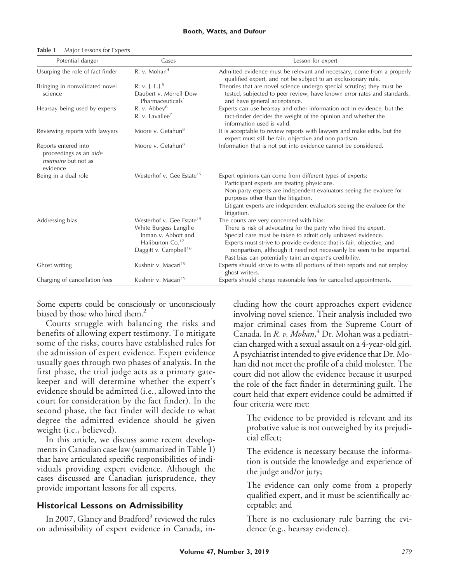| Potential danger                                                                        | Cases                                                                                                                                                       | Lesson for expert                                                                                                                                                                                                                                                                                                                                                                        |
|-----------------------------------------------------------------------------------------|-------------------------------------------------------------------------------------------------------------------------------------------------------------|------------------------------------------------------------------------------------------------------------------------------------------------------------------------------------------------------------------------------------------------------------------------------------------------------------------------------------------------------------------------------------------|
| Usurping the role of fact finder                                                        | R. v. Mohan <sup>4</sup>                                                                                                                                    | Admitted evidence must be relevant and necessary, come from a properly<br>qualified expert, and not be subject to an exclusionary rule.                                                                                                                                                                                                                                                  |
| Bringing in nonvalidated novel<br>science                                               | R. v. J.-L.J. <sup>5</sup><br>Daubert v. Merrell Dow<br>Pharmaceuticals <sup>1</sup>                                                                        | Theories that are novel science undergo special scrutiny; they must be<br>tested, subjected to peer review, have known error rates and standards,<br>and have general acceptance.                                                                                                                                                                                                        |
| Hearsay being used by experts                                                           | R. v. Abbey <sup>6</sup><br>R. v. Lavallee <sup>7</sup>                                                                                                     | Experts can use hearsay and other information not in evidence, but the<br>fact-finder decides the weight of the opinion and whether the<br>information used is valid.                                                                                                                                                                                                                    |
| Reviewing reports with lawyers                                                          | Moore v. Getahun <sup>8</sup>                                                                                                                               | It is acceptable to review reports with lawyers and make edits, but the<br>expert must still be fair, objective and non-partisan.                                                                                                                                                                                                                                                        |
| Reports entered into<br>proceedings as an aide<br><i>memoire</i> but not as<br>evidence | Moore v. Getahun <sup>8</sup>                                                                                                                               | Information that is not put into evidence cannot be considered.                                                                                                                                                                                                                                                                                                                          |
| Being in a dual role                                                                    | Westerhof v. Gee Estate <sup>15</sup>                                                                                                                       | Expert opinions can come from different types of experts:<br>Participant experts are treating physicians.<br>Non-party experts are independent evaluators seeing the evaluee for<br>purposes other than the litigation.<br>Litigant experts are independent evaluators seeing the evaluee for the<br>litigation.                                                                         |
| Addressing bias                                                                         | Westerhof v. Gee Estate <sup>15</sup><br>White Burgess Langille<br>Inman v. Abbott and<br>Haliburton Co. <sup>17</sup><br>Daggitt v. Campbell <sup>16</sup> | The courts are very concerned with bias:<br>There is risk of advocating for the party who hired the expert.<br>Special care must be taken to admit only unbiased evidence.<br>Experts must strive to provide evidence that is fair, objective, and<br>nonpartisan, although it need not necessarily be seen to be impartial.<br>Past bias can potentially taint an expert's credibility. |
| Ghost writing                                                                           | Kushnir v. Macari <sup>19</sup>                                                                                                                             | Experts should strive to write all portions of their reports and not employ<br>ghost writers.                                                                                                                                                                                                                                                                                            |
| Charging of cancellation fees                                                           | Kushnir v. Macari <sup>19</sup>                                                                                                                             | Experts should charge reasonable fees for cancelled appointments.                                                                                                                                                                                                                                                                                                                        |

#### **Table 1** Major Lessons for Experts

Some experts could be consciously or unconsciously biased by those who hired them.<sup>2</sup>

Courts struggle with balancing the risks and benefits of allowing expert testimony. To mitigate some of the risks, courts have established rules for the admission of expert evidence. Expert evidence usually goes through two phases of analysis. In the first phase, the trial judge acts as a primary gatekeeper and will determine whether the expert's evidence should be admitted (i.e., allowed into the court for consideration by the fact finder). In the second phase, the fact finder will decide to what degree the admitted evidence should be given weight (i.e., believed).

In this article, we discuss some recent developments in Canadian case law (summarized in Table 1) that have articulated specific responsibilities of individuals providing expert evidence. Although the cases discussed are Canadian jurisprudence, they provide important lessons for all experts.

#### **Historical Lessons on Admissibility**

In 2007, Glancy and Bradford<sup>3</sup> reviewed the rules on admissibility of expert evidence in Canada, including how the court approaches expert evidence involving novel science. Their analysis included two major criminal cases from the Supreme Court of Canada. In *R. v. Mohan*, <sup>4</sup> Dr. Mohan was a pediatrician charged with a sexual assault on a 4-year-old girl. A psychiatrist intended to give evidence that Dr. Mohan did not meet the profile of a child molester. The court did not allow the evidence because it usurped the role of the fact finder in determining guilt. The court held that expert evidence could be admitted if four criteria were met:

The evidence to be provided is relevant and its probative value is not outweighed by its prejudicial effect;

The evidence is necessary because the information is outside the knowledge and experience of the judge and/or jury;

The evidence can only come from a properly qualified expert, and it must be scientifically acceptable; and

There is no exclusionary rule barring the evidence (e.g., hearsay evidence).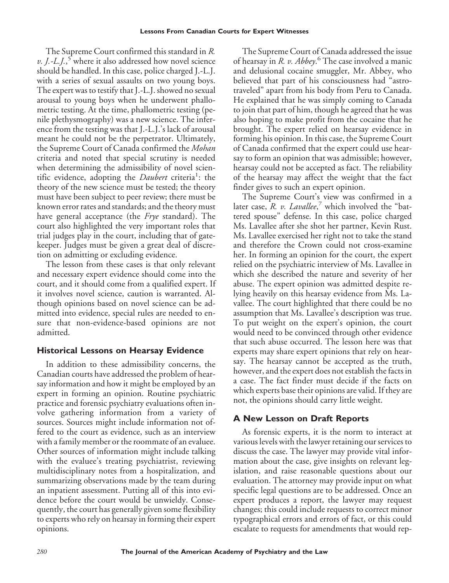The Supreme Court confirmed this standard in *R. v. J.-L.J.*,<sup>5</sup> where it also addressed how novel science should be handled. In this case, police charged J.-L.J. with a series of sexual assaults on two young boys. The expert was to testify that J.-L.J. showed no sexual arousal to young boys when he underwent phallometric testing. At the time, phallometric testing (penile plethysmography) was a new science. The inference from the testing was that J.-L.J.'s lack of arousal meant he could not be the perpetrator. Ultimately, the Supreme Court of Canada confirmed the *Mohan* criteria and noted that special scrutiny is needed when determining the admissibility of novel scientific evidence, adopting the *Daubert* criteria<sup>1</sup>: the theory of the new science must be tested; the theory must have been subject to peer review; there must be known error rates and standards; and the theory must have general acceptance (the *Frye* standard). The court also highlighted the very important roles that trial judges play in the court, including that of gatekeeper. Judges must be given a great deal of discretion on admitting or excluding evidence.

The lesson from these cases is that only relevant and necessary expert evidence should come into the court, and it should come from a qualified expert. If it involves novel science, caution is warranted. Although opinions based on novel science can be admitted into evidence, special rules are needed to ensure that non-evidence-based opinions are not admitted.

## **Historical Lessons on Hearsay Evidence**

In addition to these admissibility concerns, the Canadian courts have addressed the problem of hearsay information and how it might be employed by an expert in forming an opinion. Routine psychiatric practice and forensic psychiatry evaluations often involve gathering information from a variety of sources. Sources might include information not offered to the court as evidence, such as an interview with a family member or the roommate of an evaluee. Other sources of information might include talking with the evaluee's treating psychiatrist, reviewing multidisciplinary notes from a hospitalization, and summarizing observations made by the team during an inpatient assessment. Putting all of this into evidence before the court would be unwieldy. Consequently, the court has generally given some flexibility to experts who rely on hearsay in forming their expert opinions.

The Supreme Court of Canada addressed the issue of hearsay in *R. v. Abbey*. <sup>6</sup> The case involved a manic and delusional cocaine smuggler, Mr. Abbey, who believed that part of his consciousness had "astrotraveled" apart from his body from Peru to Canada. He explained that he was simply coming to Canada to join that part of him, though he agreed that he was also hoping to make profit from the cocaine that he brought. The expert relied on hearsay evidence in forming his opinion. In this case, the Supreme Court of Canada confirmed that the expert could use hearsay to form an opinion that was admissible; however, hearsay could not be accepted as fact. The reliability of the hearsay may affect the weight that the fact finder gives to such an expert opinion.

The Supreme Court's view was confirmed in a later case, *R. v. Lavallee*, <sup>7</sup> which involved the "battered spouse" defense. In this case, police charged Ms. Lavallee after she shot her partner, Kevin Rust. Ms. Lavallee exercised her right not to take the stand and therefore the Crown could not cross-examine her. In forming an opinion for the court, the expert relied on the psychiatric interview of Ms. Lavallee in which she described the nature and severity of her abuse. The expert opinion was admitted despite relying heavily on this hearsay evidence from Ms. Lavallee. The court highlighted that there could be no assumption that Ms. Lavallee's description was true. To put weight on the expert's opinion, the court would need to be convinced through other evidence that such abuse occurred. The lesson here was that experts may share expert opinions that rely on hearsay. The hearsay cannot be accepted as the truth, however, and the expert does not establish the facts in a case. The fact finder must decide if the facts on which experts base their opinions are valid. If they are not, the opinions should carry little weight.

## **A New Lesson on Draft Reports**

As forensic experts, it is the norm to interact at various levels with the lawyer retaining our services to discuss the case. The lawyer may provide vital information about the case, give insights on relevant legislation, and raise reasonable questions about our evaluation. The attorney may provide input on what specific legal questions are to be addressed. Once an expert produces a report, the lawyer may request changes; this could include requests to correct minor typographical errors and errors of fact, or this could escalate to requests for amendments that would rep-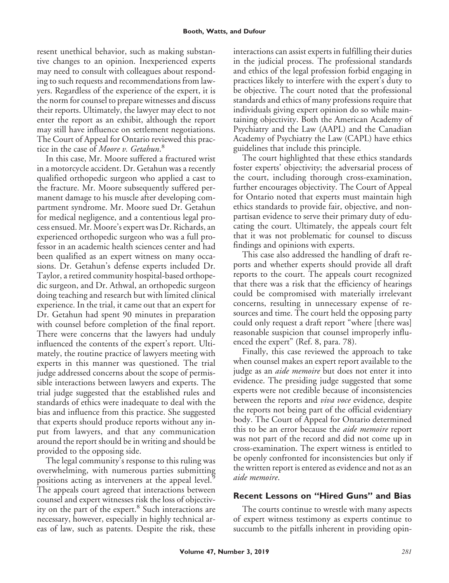resent unethical behavior, such as making substantive changes to an opinion. Inexperienced experts may need to consult with colleagues about responding to such requests and recommendations from lawyers. Regardless of the experience of the expert, it is the norm for counsel to prepare witnesses and discuss their reports. Ultimately, the lawyer may elect to not enter the report as an exhibit, although the report may still have influence on settlement negotiations. The Court of Appeal for Ontario reviewed this practice in the case of *Moore v. Getahun*. 8

In this case, Mr. Moore suffered a fractured wrist in a motorcycle accident. Dr. Getahun was a recently qualified orthopedic surgeon who applied a cast to the fracture. Mr. Moore subsequently suffered permanent damage to his muscle after developing compartment syndrome. Mr. Moore sued Dr. Getahun for medical negligence, and a contentious legal process ensued. Mr. Moore's expert was Dr. Richards, an experienced orthopedic surgeon who was a full professor in an academic health sciences center and had been qualified as an expert witness on many occasions. Dr. Getahun's defense experts included Dr. Taylor, a retired community hospital-based orthopedic surgeon, and Dr. Athwal, an orthopedic surgeon doing teaching and research but with limited clinical experience. In the trial, it came out that an expert for Dr. Getahun had spent 90 minutes in preparation with counsel before completion of the final report. There were concerns that the lawyers had unduly influenced the contents of the expert's report. Ultimately, the routine practice of lawyers meeting with experts in this manner was questioned. The trial judge addressed concerns about the scope of permissible interactions between lawyers and experts. The trial judge suggested that the established rules and standards of ethics were inadequate to deal with the bias and influence from this practice. She suggested that experts should produce reports without any input from lawyers, and that any communication around the report should be in writing and should be provided to the opposing side.

The legal community's response to this ruling was overwhelming, with numerous parties submitting positions acting as interveners at the appeal level.<sup>9</sup> The appeals court agreed that interactions between counsel and expert witnesses risk the loss of objectivity on the part of the expert.<sup>8</sup> Such interactions are necessary, however, especially in highly technical areas of law, such as patents. Despite the risk, these interactions can assist experts in fulfilling their duties in the judicial process. The professional standards and ethics of the legal profession forbid engaging in practices likely to interfere with the expert's duty to be objective. The court noted that the professional standards and ethics of many professions require that individuals giving expert opinion do so while maintaining objectivity. Both the American Academy of Psychiatry and the Law (AAPL) and the Canadian Academy of Psychiatry the Law (CAPL) have ethics guidelines that include this principle.

The court highlighted that these ethics standards foster experts' objectivity; the adversarial process of the court, including thorough cross-examination, further encourages objectivity. The Court of Appeal for Ontario noted that experts must maintain high ethics standards to provide fair, objective, and nonpartisan evidence to serve their primary duty of educating the court. Ultimately, the appeals court felt that it was not problematic for counsel to discuss findings and opinions with experts.

This case also addressed the handling of draft reports and whether experts should provide all draft reports to the court. The appeals court recognized that there was a risk that the efficiency of hearings could be compromised with materially irrelevant concerns, resulting in unnecessary expense of resources and time. The court held the opposing party could only request a draft report "where [there was] reasonable suspicion that counsel improperly influenced the expert" (Ref. 8, para. 78).

Finally, this case reviewed the approach to take when counsel makes an expert report available to the judge as an *aide memoire* but does not enter it into evidence. The presiding judge suggested that some experts were not credible because of inconsistencies between the reports and *viva voce* evidence, despite the reports not being part of the official evidentiary body. The Court of Appeal for Ontario determined this to be an error because the *aide memoire* report was not part of the record and did not come up in cross-examination. The expert witness is entitled to be openly confronted for inconsistencies but only if the written report is entered as evidence and not as an *aide memoire*.

#### **Recent Lessons on "Hired Guns" and Bias**

The courts continue to wrestle with many aspects of expert witness testimony as experts continue to succumb to the pitfalls inherent in providing opin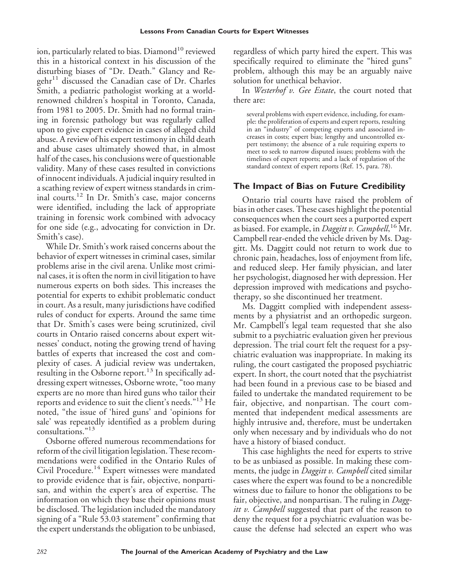ion, particularly related to bias. Diamond<sup>10</sup> reviewed this in a historical context in his discussion of the disturbing biases of "Dr. Death." Glancy and Re $gchr<sup>11</sup>$  discussed the Canadian case of Dr. Charles Smith, a pediatric pathologist working at a worldrenowned children's hospital in Toronto, Canada, from 1981 to 2005. Dr. Smith had no formal training in forensic pathology but was regularly called upon to give expert evidence in cases of alleged child abuse. A review of his expert testimony in child death and abuse cases ultimately showed that, in almost half of the cases, his conclusions were of questionable validity. Many of these cases resulted in convictions of innocent individuals. A judicial inquiry resulted in a scathing review of expert witness standards in criminal courts.<sup>12</sup> In Dr. Smith's case, major concerns were identified, including the lack of appropriate training in forensic work combined with advocacy for one side (e.g., advocating for conviction in Dr. Smith's case).

While Dr. Smith's work raised concerns about the behavior of expert witnesses in criminal cases, similar problems arise in the civil arena. Unlike most criminal cases, it is often the norm in civil litigation to have numerous experts on both sides. This increases the potential for experts to exhibit problematic conduct in court. As a result, many jurisdictions have codified rules of conduct for experts. Around the same time that Dr. Smith's cases were being scrutinized, civil courts in Ontario raised concerns about expert witnesses' conduct, noting the growing trend of having battles of experts that increased the cost and complexity of cases. A judicial review was undertaken, resulting in the Osborne report.<sup>13</sup> In specifically addressing expert witnesses, Osborne wrote, "too many experts are no more than hired guns who tailor their reports and evidence to suit the client's needs."<sup>13</sup> He noted, "the issue of 'hired guns' and 'opinions for sale' was repeatedly identified as a problem during consultations."<sup>13</sup>

Osborne offered numerous recommendations for reform of the civil litigation legislation. These recommendations were codified in the Ontario Rules of Civil Procedure.<sup>14</sup> Expert witnesses were mandated to provide evidence that is fair, objective, nonpartisan, and within the expert's area of expertise. The information on which they base their opinions must be disclosed. The legislation included the mandatory signing of a "Rule 53.03 statement" confirming that the expert understands the obligation to be unbiased, regardless of which party hired the expert. This was specifically required to eliminate the "hired guns" problem, although this may be an arguably naive solution for unethical behavior.

In *Westerhof v. Gee Estate*, the court noted that there are:

several problems with expert evidence, including, for example: the proliferation of experts and expert reports, resulting in an "industry" of competing experts and associated increases in costs; expert bias; lengthy and uncontrolled expert testimony; the absence of a rule requiring experts to meet to seek to narrow disputed issues; problems with the timelines of expert reports; and a lack of regulation of the standard context of expert reports (Ref. 15, para. 78).

#### **The Impact of Bias on Future Credibility**

Ontario trial courts have raised the problem of bias in other cases. These cases highlight the potential consequences when the court sees a purported expert as biased. For example, in *Daggitt v. Campbell*, <sup>16</sup> Mr. Campbell rear-ended the vehicle driven by Ms. Daggitt. Ms. Daggitt could not return to work due to chronic pain, headaches, loss of enjoyment from life, and reduced sleep. Her family physician, and later her psychologist, diagnosed her with depression. Her depression improved with medications and psychotherapy, so she discontinued her treatment.

Ms. Daggitt complied with independent assessments by a physiatrist and an orthopedic surgeon. Mr. Campbell's legal team requested that she also submit to a psychiatric evaluation given her previous depression. The trial court felt the request for a psychiatric evaluation was inappropriate. In making its ruling, the court castigated the proposed psychiatric expert. In short, the court noted that the psychiatrist had been found in a previous case to be biased and failed to undertake the mandated requirement to be fair, objective, and nonpartisan. The court commented that independent medical assessments are highly intrusive and, therefore, must be undertaken only when necessary and by individuals who do not have a history of biased conduct.

This case highlights the need for experts to strive to be as unbiased as possible. In making these comments, the judge in *Daggitt v. Campbell* cited similar cases where the expert was found to be a noncredible witness due to failure to honor the obligations to be fair, objective, and nonpartisan. The ruling in *Daggitt v. Campbell* suggested that part of the reason to deny the request for a psychiatric evaluation was because the defense had selected an expert who was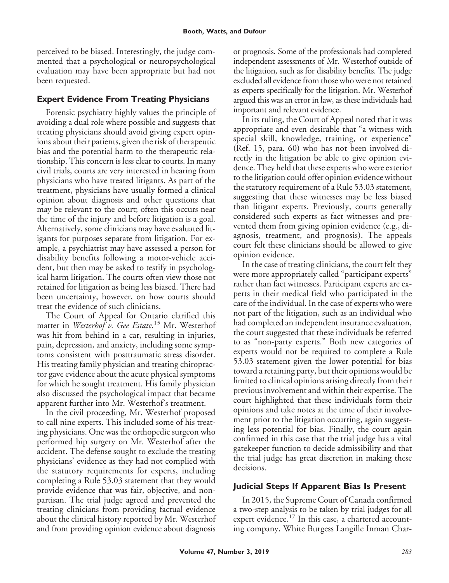perceived to be biased. Interestingly, the judge commented that a psychological or neuropsychological evaluation may have been appropriate but had not been requested.

# **Expert Evidence From Treating Physicians**

Forensic psychiatry highly values the principle of avoiding a dual role where possible and suggests that treating physicians should avoid giving expert opinions about their patients, given the risk of therapeutic bias and the potential harm to the therapeutic relationship. This concern is less clear to courts. In many civil trials, courts are very interested in hearing from physicians who have treated litigants. As part of the treatment, physicians have usually formed a clinical opinion about diagnosis and other questions that may be relevant to the court; often this occurs near the time of the injury and before litigation is a goal. Alternatively, some clinicians may have evaluated litigants for purposes separate from litigation. For example, a psychiatrist may have assessed a person for disability benefits following a motor-vehicle accident, but then may be asked to testify in psychological harm litigation. The courts often view those not retained for litigation as being less biased. There had been uncertainty, however, on how courts should treat the evidence of such clinicians.

The Court of Appeal for Ontario clarified this matter in *Westerhof v. Gee Estate*. <sup>15</sup> Mr. Westerhof was hit from behind in a car, resulting in injuries, pain, depression, and anxiety, including some symptoms consistent with posttraumatic stress disorder. His treating family physician and treating chiropractor gave evidence about the acute physical symptoms for which he sought treatment. His family physician also discussed the psychological impact that became apparent further into Mr. Westerhof's treatment.

In the civil proceeding, Mr. Westerhof proposed to call nine experts. This included some of his treating physicians. One was the orthopedic surgeon who performed hip surgery on Mr. Westerhof after the accident. The defense sought to exclude the treating physicians' evidence as they had not complied with the statutory requirements for experts, including completing a Rule 53.03 statement that they would provide evidence that was fair, objective, and nonpartisan. The trial judge agreed and prevented the treating clinicians from providing factual evidence about the clinical history reported by Mr. Westerhof and from providing opinion evidence about diagnosis or prognosis. Some of the professionals had completed independent assessments of Mr. Westerhof outside of the litigation, such as for disability benefits. The judge excluded all evidence from those who were not retained as experts specifically for the litigation. Mr. Westerhof argued this was an error in law, as these individuals had important and relevant evidence.

In its ruling, the Court of Appeal noted that it was appropriate and even desirable that "a witness with special skill, knowledge, training, or experience" (Ref. 15, para. 60) who has not been involved directly in the litigation be able to give opinion evidence. They held that these experts who were exterior to the litigation could offer opinion evidence without the statutory requirement of a Rule 53.03 statement, suggesting that these witnesses may be less biased than litigant experts. Previously, courts generally considered such experts as fact witnesses and prevented them from giving opinion evidence (e.g., diagnosis, treatment, and prognosis). The appeals court felt these clinicians should be allowed to give opinion evidence.

In the case of treating clinicians, the court felt they were more appropriately called "participant experts" rather than fact witnesses. Participant experts are experts in their medical field who participated in the care of the individual. In the case of experts who were not part of the litigation, such as an individual who had completed an independent insurance evaluation, the court suggested that these individuals be referred to as "non-party experts." Both new categories of experts would not be required to complete a Rule 53.03 statement given the lower potential for bias toward a retaining party, but their opinions would be limited to clinical opinions arising directly from their previous involvement and within their expertise. The court highlighted that these individuals form their opinions and take notes at the time of their involvement prior to the litigation occurring, again suggesting less potential for bias. Finally, the court again confirmed in this case that the trial judge has a vital gatekeeper function to decide admissibility and that the trial judge has great discretion in making these decisions.

## **Judicial Steps If Apparent Bias Is Present**

In 2015, the Supreme Court of Canada confirmed a two-step analysis to be taken by trial judges for all expert evidence.<sup>17</sup> In this case, a chartered accounting company, White Burgess Langille Inman Char-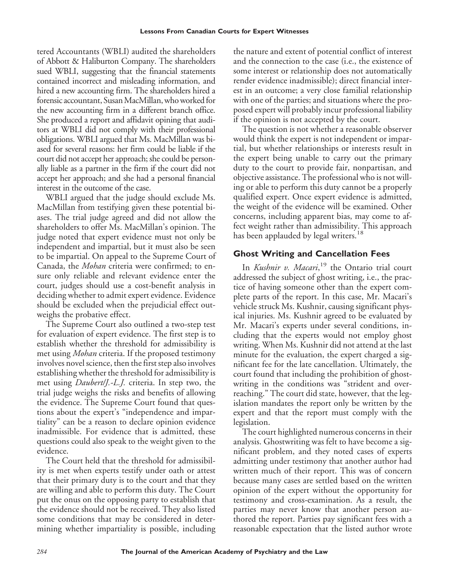tered Accountants (WBLI) audited the shareholders of Abbott & Haliburton Company. The shareholders sued WBLI, suggesting that the financial statements contained incorrect and misleading information, and hired a new accounting firm. The shareholders hired a forensic accountant, Susan MacMillan, who worked for the new accounting firm in a different branch office. She produced a report and affidavit opining that auditors at WBLI did not comply with their professional obligations. WBLI argued that Ms. MacMillan was biased for several reasons: her firm could be liable if the court did not accept her approach; she could be personally liable as a partner in the firm if the court did not accept her approach; and she had a personal financial interest in the outcome of the case.

WBLI argued that the judge should exclude Ms. MacMillan from testifying given these potential biases. The trial judge agreed and did not allow the shareholders to offer Ms. MacMillan's opinion. The judge noted that expert evidence must not only be independent and impartial, but it must also be seen to be impartial. On appeal to the Supreme Court of Canada, the *Mohan* criteria were confirmed; to ensure only reliable and relevant evidence enter the court, judges should use a cost-benefit analysis in deciding whether to admit expert evidence. Evidence should be excluded when the prejudicial effect outweighs the probative effect.

The Supreme Court also outlined a two-step test for evaluation of expert evidence. The first step is to establish whether the threshold for admissibility is met using *Mohan* criteria. If the proposed testimony involves novel science, then the first step also involves establishing whether the threshold for admissibility is met using *Daubert/J.-L.J.* criteria. In step two, the trial judge weighs the risks and benefits of allowing the evidence. The Supreme Court found that questions about the expert's "independence and impartiality" can be a reason to declare opinion evidence inadmissible. For evidence that is admitted, these questions could also speak to the weight given to the evidence.

The Court held that the threshold for admissibility is met when experts testify under oath or attest that their primary duty is to the court and that they are willing and able to perform this duty. The Court put the onus on the opposing party to establish that the evidence should not be received. They also listed some conditions that may be considered in determining whether impartiality is possible, including the nature and extent of potential conflict of interest and the connection to the case (i.e., the existence of some interest or relationship does not automatically render evidence inadmissible); direct financial interest in an outcome; a very close familial relationship with one of the parties; and situations where the proposed expert will probably incur professional liability if the opinion is not accepted by the court.

The question is not whether a reasonable observer would think the expert is not independent or impartial, but whether relationships or interests result in the expert being unable to carry out the primary duty to the court to provide fair, nonpartisan, and objective assistance. The professional who is not willing or able to perform this duty cannot be a properly qualified expert. Once expert evidence is admitted, the weight of the evidence will be examined. Other concerns, including apparent bias, may come to affect weight rather than admissibility. This approach has been applauded by legal writers.<sup>18</sup>

#### **Ghost Writing and Cancellation Fees**

In *Kushnir v. Macari*, <sup>19</sup> the Ontario trial court addressed the subject of ghost writing, i.e., the practice of having someone other than the expert complete parts of the report. In this case, Mr. Macari's vehicle struck Ms. Kushnir, causing significant physical injuries. Ms. Kushnir agreed to be evaluated by Mr. Macari's experts under several conditions, including that the experts would not employ ghost writing. When Ms. Kushnir did not attend at the last minute for the evaluation, the expert charged a significant fee for the late cancellation. Ultimately, the court found that including the prohibition of ghostwriting in the conditions was "strident and overreaching." The court did state, however, that the legislation mandates the report only be written by the expert and that the report must comply with the legislation.

The court highlighted numerous concerns in their analysis. Ghostwriting was felt to have become a significant problem, and they noted cases of experts admitting under testimony that another author had written much of their report. This was of concern because many cases are settled based on the written opinion of the expert without the opportunity for testimony and cross-examination. As a result, the parties may never know that another person authored the report. Parties pay significant fees with a reasonable expectation that the listed author wrote